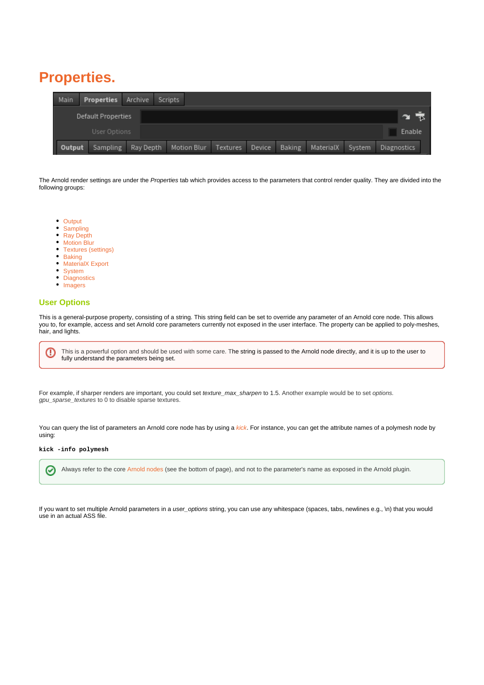## <span id="page-0-0"></span>**Properties.**

| Main               | <b>Properties</b> Archive Scripts |           |  |             |          |        |        |           |        |             |
|--------------------|-----------------------------------|-----------|--|-------------|----------|--------|--------|-----------|--------|-------------|
| Default Properties |                                   |           |  |             |          |        |        |           |        |             |
| User Options       |                                   |           |  |             |          |        |        |           |        | Enable      |
| Output             | Sampling                          | Ray Depth |  | Motion Blur | Textures | Device | Baking | MaterialX | System | Diagnostics |

The Arnold render settings are under the Properties tab which provides access to the parameters that control render quality. They are divided into the following groups:

- [Output](https://docs.arnoldrenderer.com/display/A5AFHUG/Output)
- [Sampling](https://docs.arnoldrenderer.com/display/A5AFHUG/Sampling)
- [Ray Depth](https://docs.arnoldrenderer.com/display/A5AFHUG/Ray+Depth) • [Motion Blur](https://docs.arnoldrenderer.com/display/A5AFHUG/Motion+Blur)
- [Textures \(settings\)](https://docs.arnoldrenderer.com/pages/viewpage.action?pageId=38830468)
- [Baking](https://docs.arnoldrenderer.com/display/A5AFHUG/Baking)
- [MaterialX Export](https://docs.arnoldrenderer.com/display/A5AFHUG/MaterialX+Export)
- [System](https://docs.arnoldrenderer.com/display/A5AFHUG/System)
- **[Diagnostics](https://docs.arnoldrenderer.com/display/A5AFHUG/Diagnostics)**
- [Imagers](https://docs.arnoldrenderer.com/display/A5AFHUG/Imagers)

## **[User Options](#page-0-0)**

⊕

This is a general-purpose property, consisting of a string. This string field can be set to override any parameter of an Arnold core node. This allows you to, for example, access and set Arnold core parameters currently not exposed in the user interface. The property can be applied to poly-meshes, hair, and lights.

This is a powerful option and should be used with some care. The string is passed to the Arnold node directly, and it is up to the user to fully understand the parameters being set.

For example, if sharper renders are important, you could set texture\_max\_sharpen to 1.5. Another example would be to set options. gpu\_sparse\_textures to 0 to disable sparse textures.

You can query the list of parameters an Arnold core node has by using a [kick](https://docs.arnoldrenderer.com/pages/viewpage.action?pageId=36110428). For instance, you can get the attribute names of a polymesh node by using:

## **kick -info polymesh**

の Always refer to the core [Arnold nodes](https://docs.arnoldrenderer.com/display/A5NodeRef/Node+Reference) (see the bottom of page), and not to the parameter's name as exposed in the Arnold plugin.

If you want to set multiple Arnold parameters in a user\_options string, you can use any whitespace (spaces, tabs, newlines e.g., \n) that you would use in an actual ASS file.